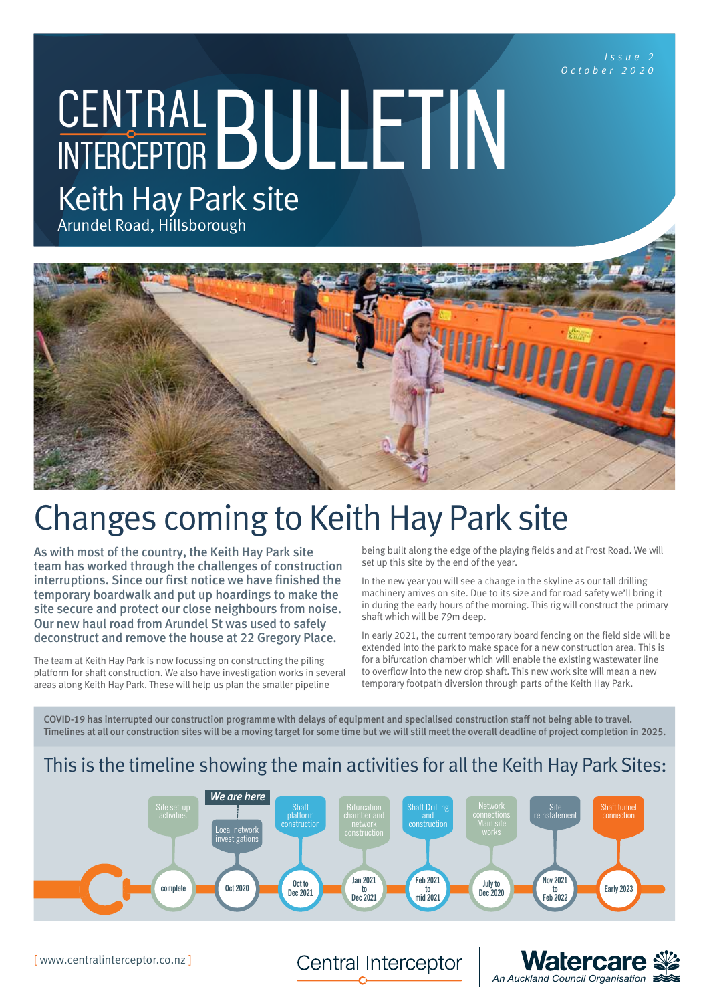*Issue 2 October 2020*

CENTRAL BULLETIN Keith Hay Park site

Arundel Road, Hillsborough



# Changes coming to Keith Hay Park site

As with most of the country, the Keith Hay Park site team has worked through the challenges of construction interruptions. Since our first notice we have finished the temporary boardwalk and put up hoardings to make the site secure and protect our close neighbours from noise. Our new haul road from Arundel St was used to safely deconstruct and remove the house at 22 Gregory Place.

The team at Keith Hay Park is now focussing on constructing the piling platform for shaft construction. We also have investigation works in several areas along Keith Hay Park. These will help us plan the smaller pipeline

being built along the edge of the playing fields and at Frost Road. We will set up this site by the end of the year.

In the new year you will see a change in the skyline as our tall drilling machinery arrives on site. Due to its size and for road safety we'll bring it in during the early hours of the morning. This rig will construct the primary shaft which will be 79m deep.

In early 2021, the current temporary board fencing on the field side will be extended into the park to make space for a new construction area. This is for a bifurcation chamber which will enable the existing wastewater line to overflow into the new drop shaft. This new work site will mean a new temporary footpath diversion through parts of the Keith Hay Park.

COVID-19 has interrupted our construction programme with delays of equipment and specialised construction staff not being able to travel. Timelines at all our construction sites will be a moving target for some time but we will still meet the overall deadline of project completion in 2025.

# This is the timeline showing the main activities for all the Keith Hay Park Sites:



[ www.centralinterceptor.co.nz ]

Central Interceptor